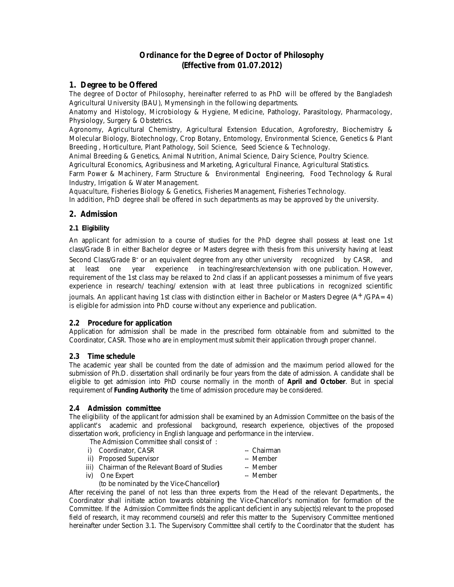# **Ordinance for the Degree of Doctor of Philosophy (Effective from 01.07.2012)**

# **1. Degree to be Offered**

The degree of Doctor of Philosophy, hereinafter referred to as PhD will be offered by the Bangladesh Agricultural University (BAU), Mymensingh in the following departments.

Anatomy and Histology, Microbiology & Hygiene, Medicine, Pathology, Parasitology, Pharmacology, Physiology, Surgery & Obstetrics.

Agronomy, Agricultural Chemistry, Agricultural Extension Education, Agroforestry, Biochemistry & Molecular Biology, Biotechnology, Crop Botany, Entomology, Environmental Science, Genetics & Plant Breeding , Horticulture, Plant Pathology, Soil Science, Seed Science & Technology.

Animal Breeding & Genetics, Animal Nutrition, Animal Science, Dairy Science, Poultry Science. Agricultural Economics, Agribusiness and Marketing, Agricultural Finance, Agricultural Statistics.

Farm Power & Machinery, Farm Structure & Environmental Engineering, Food Technology & Rural Industry, Irrigation & Water Management.

Aquaculture, Fisheries Biology & Genetics, Fisheries Management, Fisheries Technology.

In addition, PhD degree shall be offered in such departments as may be approved by the university.

# **2. Admission**

# **2.1 Eligibility**

An applicant for admission to a course of studies for the PhD degree shall possess at least one 1st class/Grade B in either Bachelor degree or Masters degree with thesis from this university having at least Second Class/Grade B<sup>-</sup> or an equivalent degree from any other university recognized by CASR, and at least one year experience in teaching/research/extension with one publication. However, requirement of the 1st class may be relaxed to 2nd class if an applicant possesses a minimum of five years experience in research/ teaching/ extension with at least three publications in recognized scientific

journals. An applicant having 1st class with distinction either in Bachelor or Masters Degree  $(A^+/GPA=4)$ is eligible for admission into PhD course without any experience and publication.

# **2.2 Procedure for application**

Application for admission shall be made in the prescribed form obtainable from and submitted to the Coordinator, CASR. Those who are in employment must submit their application through proper channel.

# **2.3 Time schedule**

The academic year shall be counted from the date of admission and the maximum period allowed for the submission of Ph.D. dissertation shall ordinarily be four years from the date of admission. A candidate shall be eligible to get admission into PhD course normally in the month of **April and October**. But in special requirement of **Funding Authority** the time of admission procedure may be considered.

# **2.4 Admission committee**

The eligibility of the applicant for admission shall be examined by an Admission Committee on the basis of the applicant's academic and professional background, research experience, objectives of the proposed dissertation work, proficiency in English language and performance in the interview.

The Admission Committee shall consist of :

- i) Coordinator, CASR -- Chairman
- 
- ii) Proposed Supervisor -- Member
- iii) Chairman of the Relevant Board of Studies -- Member
- iv) One Expert -- Member
	- (to be nominated by the Vice-Chancellor**)**

After receiving the panel of not less than three experts from the Head of the relevant Departments., the Coordinator shall initiate action towards obtaining the Vice-Chancellor's nomination for formation of the Committee. If the Admission Committee finds the applicant deficient in any subject(s) relevant to the proposed field of research, it may recommend course(s) and refer this matter to the Supervisory Committee mentioned hereinafter under Section 3.1. The Supervisory Committee shall certify to the Coordinator that the student has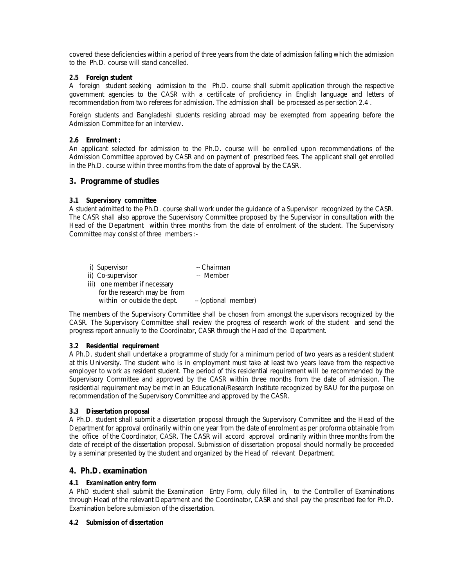covered these deficiencies within a period of three years from the date of admission failing which the admission to the Ph.D. course will stand cancelled.

### **2.5 Foreign student**

A foreign student seeking admission to the Ph.D. course shall submit application through the respective government agencies to the CASR with a certificate of proficiency in English language and letters of recommendation from two referees for admission. The admission shall be processed as per section 2.4 .

Foreign students and Bangladeshi students residing abroad may be exempted from appearing before the Admission Committee for an interview.

#### **2.6 Enrolment :**

An applicant selected for admission to the Ph.D. course will be enrolled upon recommendations of the Admission Committee approved by CASR and on payment of prescribed fees. The applicant shall get enrolled in the Ph.D. course within three months from the date of approval by the CASR.

# **3. Programme of studies**

### **3.1 Supervisory committee**

A student admitted to the Ph.D. course shall work under the guidance of a Supervisor recognized by the CASR. The CASR shall also approve the Supervisory Committee proposed by the Supervisor in consultation with the Head of the Department within three months from the date of enrolment of the student. The Supervisory Committee may consist of three members :-

| i) Supervisor                | -- Chairman          |
|------------------------------|----------------------|
| ii) Co-supervisor            | -- Member            |
| iii) one member if necessary |                      |
| for the research may be from |                      |
| within or outside the dept.  | -- (optional member) |

The members of the Supervisory Committee shall be chosen from amongst the supervisors recognized by the CASR. The Supervisory Committee shall review the progress of research work of the student and send the progress report annually to the Coordinator, CASR through the Head of the Department.

#### **3.2 Residential requirement**

A Ph.D. student shall undertake a programme of study for a minimum period of two years as a resident student at this University. The student who is in employment must take at least two years leave from the respective employer to work as resident student. The period of this residential requirement will be recommended by the Supervisory Committee and approved by the CASR within three months from the date of admission. The residential requirement may be met in an Educational/Research Institute recognized by BAU for the purpose on recommendation of the Supervisory Committee and approved by the CASR.

#### **3.3 Dissertation proposal**

A Ph.D. student shall submit a dissertation proposal through the Supervisory Committee and the Head of the Department for approval ordinarily within one year from the date of enrolment as per proforma obtainable from the office of the Coordinator, CASR. The CASR will accord approval ordinarily within three months from the date of receipt of the dissertation proposal. Submission of dissertation proposal should normally be proceeded by a seminar presented by the student and organized by the Head of relevant Department.

# **4. Ph.D. examination**

# **4.1 Examination entry form**

A PhD student shall submit the Examination Entry Form, duly filled in, to the Controller of Examinations through Head of the relevant Department and the Coordinator, CASR and shall pay the prescribed fee for Ph.D. Examination before submission of the dissertation.

#### **4.2 Submission of dissertation**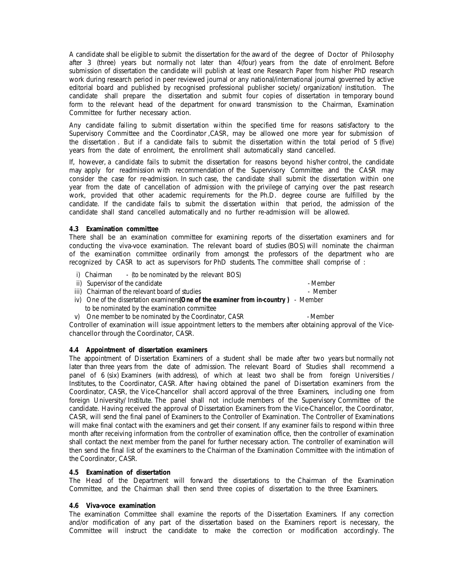A candidate shall be eligible to submit the dissertation for the award of the degree of Doctor of Philosophy after 3 (three) years but normally not later than 4(four) years from the date of enrolment. Before submission of dissertation the candidate will publish at least one Research Paper from his/her PhD research work during research period in peer reviewed journal or any national/international journal governed by active editorial board and published by recognised professional publisher society/ organization/ institution. The candidate shall prepare the dissertation and submit four copies of dissertation in temporary bound form to the relevant head of the department for onward transmission to the Chairman, Examination Committee for further necessary action.

Any candidate failing to submit dissertation within the specified time for reasons satisfactory to the Supervisory Committee and the Coordinator ,CASR, may be allowed one more year for submission of the dissertation . But if a candidate fails to submit the dissertation within the total period of 5 (five) years from the date of enrolment, the enrollment shall automatically stand cancelled.

If, however, a candidate fails to submit the dissertation for reasons beyond his/her control, the candidate may apply for readmission with recommendation of the Supervisory Committee and the CASR may consider the case for re-admission. In such case, the candidate shall submit the dissertation within one year from the date of cancellation of admission with the privilege of carrying over the past research work, provided that other academic requirements for the Ph.D. degree course are fulfilled by the candidate. If the candidate fails to submit the dissertation within that period, the admission of the candidate shall stand cancelled automatically and no further re-admission will be allowed.

#### **4.3 Examination committee**

There shall be an examination committee for examining reports of the dissertation examiners and for conducting the viva-voce examination. The relevant board of studies (BOS) will nominate the chairman of the examination committee ordinarily from amongst the professors of the department who are recognized by CASR to act as supervisors for PhD students. The committee shall comprise of :

- i) Chairman (to be nominated by the relevant BOS)
- ii) Supervisor of the candidate Member Member Member Member
- iii) Chairman of the relevant board of studies Member Member
- iv) One of the dissertation examiners**(One of the examiner from in-country )** Member to be nominated by the examination committee
- v) One member to be nominated by the Coordinator, CASR Member

Controller of examination will issue appointment letters to the members after obtaining approval of the Vicechancellor through the Coordinator, CASR.

# **4.4 Appointment of dissertation examiners**

The appointment of Dissertation Examiners of a student shall be made after two years but normally not later than three years from the date of admission. The relevant Board of Studies shall recommend a panel of 6 (six) Examiners (with address), of which at least two shall be from foreign Universities / Institutes, to the Coordinator, CASR. After having obtained the panel of Dissertation examiners from the Coordinator, CASR, the Vice-Chancellor shall accord approval of the three Examiners, including one from foreign University/ Institute. The panel shall not include members of the Supervisory Committee of the candidate. Having received the approval of Dissertation Examiners from the Vice-Chancellor, the Coordinator, CASR, will send the final panel of Examiners to the Controller of Examination. The Controller of Examinations will make final contact with the examiners and get their consent. If any examiner fails to respond within three month after receiving information from the controller of examination office, then the controller of examination shall contact the next member from the panel for further necessary action. The controller of examination will then send the final list of the examiners to the Chairman of the Examination Committee with the intimation of the Coordinator, CASR.

# **4.5 Examination of dissertation**

The Head of the Department will forward the dissertations to the Chairman of the Examination Committee, and the Chairman shall then send three copies of dissertation to the three Examiners.

# **4.6 Viva-voce examination**

The examination Committee shall examine the reports of the Dissertation Examiners. If any correction and/or modification of any part of the dissertation based on the Examiners report is necessary, the Committee will instruct the candidate to make the correction or modification accordingly. The